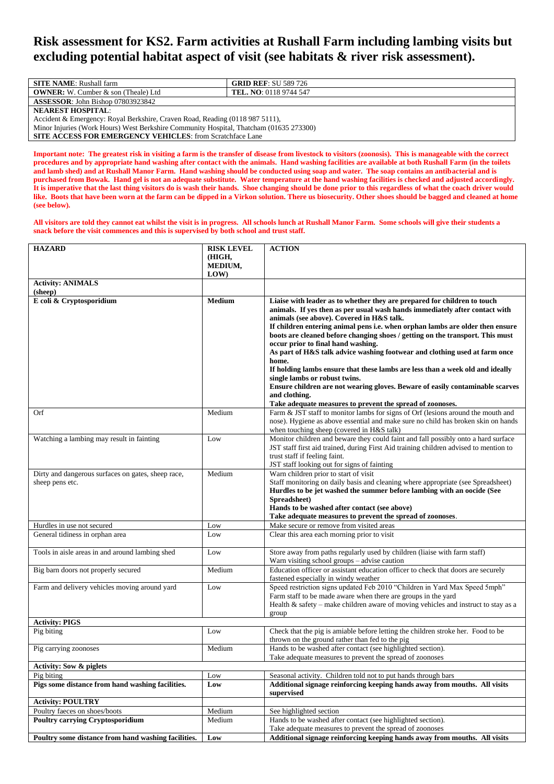## **Risk assessment for KS2. Farm activities at Rushall Farm including lambing visits but excluding potential habitat aspect of visit (see habitats & river risk assessment).**

| <b>SITE NAME:</b> Rushall farm                                                         | <b>GRID REF: SU 589 726</b>   |  |  |
|----------------------------------------------------------------------------------------|-------------------------------|--|--|
| <b>OWNER:</b> W. Cumber & son (Theale) Ltd                                             | <b>TEL. NO:</b> 0118 9744 547 |  |  |
| <b>ASSESSOR:</b> John Bishop 07803923842                                               |                               |  |  |
| <b>NEAREST HOSPITAL:</b>                                                               |                               |  |  |
| Accident & Emergency: Royal Berkshire, Craven Road, Reading (0118 987 5111),           |                               |  |  |
| Minor Injuries (Work Hours) West Berkshire Community Hospital, Thatcham (01635 273300) |                               |  |  |
| <b>SITE ACCESS FOR EMERGENCY VEHICLES:</b> from Scratchface Lane                       |                               |  |  |

**Important note: The greatest risk in visiting a farm is the transfer of disease from livestock to visitors (zoonosis). This is manageable with the correct procedures and by appropriate hand washing after contact with the animals. Hand washing facilities are available at both Rushall Farm (in the toilets and lamb shed) and at Rushall Manor Farm. Hand washing should be conducted using soap and water. The soap contains an antibacterial and is purchased from Bowak. Hand gel is not an adequate substitute. Water temperature at the hand washing facilities is checked and adjusted accordingly. It is imperative that the last thing visitors do is wash their hands. Shoe changing should be done prior to this regardless of what the coach driver would like. Boots that have been worn at the farm can be dipped in a Virkon solution. There us biosecurity. Other shoes should be bagged and cleaned at home (see below).**

**All visitors are told they cannot eat whilst the visit is in progress. All schools lunch at Rushall Manor Farm. Some schools will give their students a snack before the visit commences and this is supervised by both school and trust staff.**

| (HIGH,<br>MEDIUM,<br>LOW<br><b>Activity: ANIMALS</b><br>(sheep)<br>E coli & Cryptosporidium<br>Liaise with leader as to whether they are prepared for children to touch<br>Medium<br>animals. If yes then as per usual wash hands immediately after contact with<br>animals (see above). Covered in H&S talk.<br>If children entering animal pens i.e. when orphan lambs are older then ensure<br>boots are cleaned before changing shoes / getting on the transport. This must<br>occur prior to final hand washing.<br>As part of H&S talk advice washing footwear and clothing used at farm once<br>home.<br>If holding lambs ensure that these lambs are less than a week old and ideally<br>single lambs or robust twins.<br>Ensure children are not wearing gloves. Beware of easily contaminable scarves<br>and clothing.<br>Take adequate measures to prevent the spread of zoonoses.<br>Farm & JST staff to monitor lambs for signs of Orf (lesions around the mouth and<br>Medium<br>Orf<br>nose). Hygiene as above essential and make sure no child has broken skin on hands<br>when touching sheep (covered in H&S talk)<br>Monitor children and beware they could faint and fall possibly onto a hard surface<br>Watching a lambing may result in fainting<br>Low<br>JST staff first aid trained, during First Aid training children advised to mention to<br>trust staff if feeling faint.<br>JST staff looking out for signs of fainting<br>Warn children prior to start of visit<br>Dirty and dangerous surfaces on gates, sheep race,<br>Medium<br>sheep pens etc.<br>Staff monitoring on daily basis and cleaning where appropriate (see Spreadsheet)<br>Hurdles to be jet washed the summer before lambing with an oocide (See<br>Spreadsheet)<br>Hands to be washed after contact (see above)<br>Take adequate measures to prevent the spread of zoonoses.<br>Hurdles in use not secured<br>Make secure or remove from visited areas<br>Low<br>General tidiness in orphan area<br>Clear this area each morning prior to visit<br>Low<br>Store away from paths regularly used by children (liaise with farm staff)<br>Tools in aisle areas in and around lambing shed<br>Low<br>Warn visiting school groups - advise caution<br>Education officer or assistant education officer to check that doors are securely<br>Medium<br>Big barn doors not properly secured<br>fastened especially in windy weather<br>Speed restriction signs updated Feb 2010 "Children in Yard Max Speed 5mph"<br>Farm and delivery vehicles moving around yard<br>Low<br>Farm staff to be made aware when there are groups in the yard<br>Health & safety - make children aware of moving vehicles and instruct to stay as a<br>group<br><b>Activity: PIGS</b><br>Check that the pig is amiable before letting the children stroke her. Food to be<br>Pig biting<br>Low<br>thrown on the ground rather than fed to the pig<br>Hands to be washed after contact (see highlighted section).<br>Medium<br>Pig carrying zoonoses<br>Take adequate measures to prevent the spread of zoonoses<br><b>Activity: Sow &amp; piglets</b><br>Seasonal activity. Children told not to put hands through bars<br>Pig biting<br>Low<br>Pigs some distance from hand washing facilities.<br>Additional signage reinforcing keeping hands away from mouths. All visits<br>Low<br>supervised<br><b>Activity: POULTRY</b><br>Medium<br>See highlighted section<br>Poultry faeces on shoes/boots<br><b>Poultry carrying Cryptosporidium</b><br>Hands to be washed after contact (see highlighted section).<br>Medium<br>Take adequate measures to prevent the spread of zoonoses<br>Poultry some distance from hand washing facilities.<br>Low<br>Additional signage reinforcing keeping hands away from mouths. All visits | <b>HAZARD</b> | <b>RISK LEVEL</b> | <b>ACTION</b> |
|--------------------------------------------------------------------------------------------------------------------------------------------------------------------------------------------------------------------------------------------------------------------------------------------------------------------------------------------------------------------------------------------------------------------------------------------------------------------------------------------------------------------------------------------------------------------------------------------------------------------------------------------------------------------------------------------------------------------------------------------------------------------------------------------------------------------------------------------------------------------------------------------------------------------------------------------------------------------------------------------------------------------------------------------------------------------------------------------------------------------------------------------------------------------------------------------------------------------------------------------------------------------------------------------------------------------------------------------------------------------------------------------------------------------------------------------------------------------------------------------------------------------------------------------------------------------------------------------------------------------------------------------------------------------------------------------------------------------------------------------------------------------------------------------------------------------------------------------------------------------------------------------------------------------------------------------------------------------------------------------------------------------------------------------------------------------------------------------------------------------------------------------------------------------------------------------------------------------------------------------------------------------------------------------------------------------------------------------------------------------------------------------------------------------------------------------------------------------------------------------------------------------------------------------------------------------------------------------------------------------------------------------------------------------------------------------------------------------------------------------------------------------------------------------------------------------------------------------------------------------------------------------------------------------------------------------------------------------------------------------------------------------------------------------------------------------------------------------------------------------------------------------------------------------------------------------------------------------------------------------------------------------------------------------------------------------------------------------------------------------------------------------------------------------------------------------------------------------------------------------------------------------------------------------------------------------------------------------------------------------------------------------------------------------------------------------------------------------------------------------------------------------------------------------------------|---------------|-------------------|---------------|
|                                                                                                                                                                                                                                                                                                                                                                                                                                                                                                                                                                                                                                                                                                                                                                                                                                                                                                                                                                                                                                                                                                                                                                                                                                                                                                                                                                                                                                                                                                                                                                                                                                                                                                                                                                                                                                                                                                                                                                                                                                                                                                                                                                                                                                                                                                                                                                                                                                                                                                                                                                                                                                                                                                                                                                                                                                                                                                                                                                                                                                                                                                                                                                                                                                                                                                                                                                                                                                                                                                                                                                                                                                                                                                                                                                                                        |               |                   |               |
|                                                                                                                                                                                                                                                                                                                                                                                                                                                                                                                                                                                                                                                                                                                                                                                                                                                                                                                                                                                                                                                                                                                                                                                                                                                                                                                                                                                                                                                                                                                                                                                                                                                                                                                                                                                                                                                                                                                                                                                                                                                                                                                                                                                                                                                                                                                                                                                                                                                                                                                                                                                                                                                                                                                                                                                                                                                                                                                                                                                                                                                                                                                                                                                                                                                                                                                                                                                                                                                                                                                                                                                                                                                                                                                                                                                                        |               |                   |               |
|                                                                                                                                                                                                                                                                                                                                                                                                                                                                                                                                                                                                                                                                                                                                                                                                                                                                                                                                                                                                                                                                                                                                                                                                                                                                                                                                                                                                                                                                                                                                                                                                                                                                                                                                                                                                                                                                                                                                                                                                                                                                                                                                                                                                                                                                                                                                                                                                                                                                                                                                                                                                                                                                                                                                                                                                                                                                                                                                                                                                                                                                                                                                                                                                                                                                                                                                                                                                                                                                                                                                                                                                                                                                                                                                                                                                        |               |                   |               |
|                                                                                                                                                                                                                                                                                                                                                                                                                                                                                                                                                                                                                                                                                                                                                                                                                                                                                                                                                                                                                                                                                                                                                                                                                                                                                                                                                                                                                                                                                                                                                                                                                                                                                                                                                                                                                                                                                                                                                                                                                                                                                                                                                                                                                                                                                                                                                                                                                                                                                                                                                                                                                                                                                                                                                                                                                                                                                                                                                                                                                                                                                                                                                                                                                                                                                                                                                                                                                                                                                                                                                                                                                                                                                                                                                                                                        |               |                   |               |
|                                                                                                                                                                                                                                                                                                                                                                                                                                                                                                                                                                                                                                                                                                                                                                                                                                                                                                                                                                                                                                                                                                                                                                                                                                                                                                                                                                                                                                                                                                                                                                                                                                                                                                                                                                                                                                                                                                                                                                                                                                                                                                                                                                                                                                                                                                                                                                                                                                                                                                                                                                                                                                                                                                                                                                                                                                                                                                                                                                                                                                                                                                                                                                                                                                                                                                                                                                                                                                                                                                                                                                                                                                                                                                                                                                                                        |               |                   |               |
|                                                                                                                                                                                                                                                                                                                                                                                                                                                                                                                                                                                                                                                                                                                                                                                                                                                                                                                                                                                                                                                                                                                                                                                                                                                                                                                                                                                                                                                                                                                                                                                                                                                                                                                                                                                                                                                                                                                                                                                                                                                                                                                                                                                                                                                                                                                                                                                                                                                                                                                                                                                                                                                                                                                                                                                                                                                                                                                                                                                                                                                                                                                                                                                                                                                                                                                                                                                                                                                                                                                                                                                                                                                                                                                                                                                                        |               |                   |               |
|                                                                                                                                                                                                                                                                                                                                                                                                                                                                                                                                                                                                                                                                                                                                                                                                                                                                                                                                                                                                                                                                                                                                                                                                                                                                                                                                                                                                                                                                                                                                                                                                                                                                                                                                                                                                                                                                                                                                                                                                                                                                                                                                                                                                                                                                                                                                                                                                                                                                                                                                                                                                                                                                                                                                                                                                                                                                                                                                                                                                                                                                                                                                                                                                                                                                                                                                                                                                                                                                                                                                                                                                                                                                                                                                                                                                        |               |                   |               |
|                                                                                                                                                                                                                                                                                                                                                                                                                                                                                                                                                                                                                                                                                                                                                                                                                                                                                                                                                                                                                                                                                                                                                                                                                                                                                                                                                                                                                                                                                                                                                                                                                                                                                                                                                                                                                                                                                                                                                                                                                                                                                                                                                                                                                                                                                                                                                                                                                                                                                                                                                                                                                                                                                                                                                                                                                                                                                                                                                                                                                                                                                                                                                                                                                                                                                                                                                                                                                                                                                                                                                                                                                                                                                                                                                                                                        |               |                   |               |
|                                                                                                                                                                                                                                                                                                                                                                                                                                                                                                                                                                                                                                                                                                                                                                                                                                                                                                                                                                                                                                                                                                                                                                                                                                                                                                                                                                                                                                                                                                                                                                                                                                                                                                                                                                                                                                                                                                                                                                                                                                                                                                                                                                                                                                                                                                                                                                                                                                                                                                                                                                                                                                                                                                                                                                                                                                                                                                                                                                                                                                                                                                                                                                                                                                                                                                                                                                                                                                                                                                                                                                                                                                                                                                                                                                                                        |               |                   |               |
|                                                                                                                                                                                                                                                                                                                                                                                                                                                                                                                                                                                                                                                                                                                                                                                                                                                                                                                                                                                                                                                                                                                                                                                                                                                                                                                                                                                                                                                                                                                                                                                                                                                                                                                                                                                                                                                                                                                                                                                                                                                                                                                                                                                                                                                                                                                                                                                                                                                                                                                                                                                                                                                                                                                                                                                                                                                                                                                                                                                                                                                                                                                                                                                                                                                                                                                                                                                                                                                                                                                                                                                                                                                                                                                                                                                                        |               |                   |               |
|                                                                                                                                                                                                                                                                                                                                                                                                                                                                                                                                                                                                                                                                                                                                                                                                                                                                                                                                                                                                                                                                                                                                                                                                                                                                                                                                                                                                                                                                                                                                                                                                                                                                                                                                                                                                                                                                                                                                                                                                                                                                                                                                                                                                                                                                                                                                                                                                                                                                                                                                                                                                                                                                                                                                                                                                                                                                                                                                                                                                                                                                                                                                                                                                                                                                                                                                                                                                                                                                                                                                                                                                                                                                                                                                                                                                        |               |                   |               |
|                                                                                                                                                                                                                                                                                                                                                                                                                                                                                                                                                                                                                                                                                                                                                                                                                                                                                                                                                                                                                                                                                                                                                                                                                                                                                                                                                                                                                                                                                                                                                                                                                                                                                                                                                                                                                                                                                                                                                                                                                                                                                                                                                                                                                                                                                                                                                                                                                                                                                                                                                                                                                                                                                                                                                                                                                                                                                                                                                                                                                                                                                                                                                                                                                                                                                                                                                                                                                                                                                                                                                                                                                                                                                                                                                                                                        |               |                   |               |
|                                                                                                                                                                                                                                                                                                                                                                                                                                                                                                                                                                                                                                                                                                                                                                                                                                                                                                                                                                                                                                                                                                                                                                                                                                                                                                                                                                                                                                                                                                                                                                                                                                                                                                                                                                                                                                                                                                                                                                                                                                                                                                                                                                                                                                                                                                                                                                                                                                                                                                                                                                                                                                                                                                                                                                                                                                                                                                                                                                                                                                                                                                                                                                                                                                                                                                                                                                                                                                                                                                                                                                                                                                                                                                                                                                                                        |               |                   |               |
|                                                                                                                                                                                                                                                                                                                                                                                                                                                                                                                                                                                                                                                                                                                                                                                                                                                                                                                                                                                                                                                                                                                                                                                                                                                                                                                                                                                                                                                                                                                                                                                                                                                                                                                                                                                                                                                                                                                                                                                                                                                                                                                                                                                                                                                                                                                                                                                                                                                                                                                                                                                                                                                                                                                                                                                                                                                                                                                                                                                                                                                                                                                                                                                                                                                                                                                                                                                                                                                                                                                                                                                                                                                                                                                                                                                                        |               |                   |               |
|                                                                                                                                                                                                                                                                                                                                                                                                                                                                                                                                                                                                                                                                                                                                                                                                                                                                                                                                                                                                                                                                                                                                                                                                                                                                                                                                                                                                                                                                                                                                                                                                                                                                                                                                                                                                                                                                                                                                                                                                                                                                                                                                                                                                                                                                                                                                                                                                                                                                                                                                                                                                                                                                                                                                                                                                                                                                                                                                                                                                                                                                                                                                                                                                                                                                                                                                                                                                                                                                                                                                                                                                                                                                                                                                                                                                        |               |                   |               |
|                                                                                                                                                                                                                                                                                                                                                                                                                                                                                                                                                                                                                                                                                                                                                                                                                                                                                                                                                                                                                                                                                                                                                                                                                                                                                                                                                                                                                                                                                                                                                                                                                                                                                                                                                                                                                                                                                                                                                                                                                                                                                                                                                                                                                                                                                                                                                                                                                                                                                                                                                                                                                                                                                                                                                                                                                                                                                                                                                                                                                                                                                                                                                                                                                                                                                                                                                                                                                                                                                                                                                                                                                                                                                                                                                                                                        |               |                   |               |
|                                                                                                                                                                                                                                                                                                                                                                                                                                                                                                                                                                                                                                                                                                                                                                                                                                                                                                                                                                                                                                                                                                                                                                                                                                                                                                                                                                                                                                                                                                                                                                                                                                                                                                                                                                                                                                                                                                                                                                                                                                                                                                                                                                                                                                                                                                                                                                                                                                                                                                                                                                                                                                                                                                                                                                                                                                                                                                                                                                                                                                                                                                                                                                                                                                                                                                                                                                                                                                                                                                                                                                                                                                                                                                                                                                                                        |               |                   |               |
|                                                                                                                                                                                                                                                                                                                                                                                                                                                                                                                                                                                                                                                                                                                                                                                                                                                                                                                                                                                                                                                                                                                                                                                                                                                                                                                                                                                                                                                                                                                                                                                                                                                                                                                                                                                                                                                                                                                                                                                                                                                                                                                                                                                                                                                                                                                                                                                                                                                                                                                                                                                                                                                                                                                                                                                                                                                                                                                                                                                                                                                                                                                                                                                                                                                                                                                                                                                                                                                                                                                                                                                                                                                                                                                                                                                                        |               |                   |               |
|                                                                                                                                                                                                                                                                                                                                                                                                                                                                                                                                                                                                                                                                                                                                                                                                                                                                                                                                                                                                                                                                                                                                                                                                                                                                                                                                                                                                                                                                                                                                                                                                                                                                                                                                                                                                                                                                                                                                                                                                                                                                                                                                                                                                                                                                                                                                                                                                                                                                                                                                                                                                                                                                                                                                                                                                                                                                                                                                                                                                                                                                                                                                                                                                                                                                                                                                                                                                                                                                                                                                                                                                                                                                                                                                                                                                        |               |                   |               |
|                                                                                                                                                                                                                                                                                                                                                                                                                                                                                                                                                                                                                                                                                                                                                                                                                                                                                                                                                                                                                                                                                                                                                                                                                                                                                                                                                                                                                                                                                                                                                                                                                                                                                                                                                                                                                                                                                                                                                                                                                                                                                                                                                                                                                                                                                                                                                                                                                                                                                                                                                                                                                                                                                                                                                                                                                                                                                                                                                                                                                                                                                                                                                                                                                                                                                                                                                                                                                                                                                                                                                                                                                                                                                                                                                                                                        |               |                   |               |
|                                                                                                                                                                                                                                                                                                                                                                                                                                                                                                                                                                                                                                                                                                                                                                                                                                                                                                                                                                                                                                                                                                                                                                                                                                                                                                                                                                                                                                                                                                                                                                                                                                                                                                                                                                                                                                                                                                                                                                                                                                                                                                                                                                                                                                                                                                                                                                                                                                                                                                                                                                                                                                                                                                                                                                                                                                                                                                                                                                                                                                                                                                                                                                                                                                                                                                                                                                                                                                                                                                                                                                                                                                                                                                                                                                                                        |               |                   |               |
|                                                                                                                                                                                                                                                                                                                                                                                                                                                                                                                                                                                                                                                                                                                                                                                                                                                                                                                                                                                                                                                                                                                                                                                                                                                                                                                                                                                                                                                                                                                                                                                                                                                                                                                                                                                                                                                                                                                                                                                                                                                                                                                                                                                                                                                                                                                                                                                                                                                                                                                                                                                                                                                                                                                                                                                                                                                                                                                                                                                                                                                                                                                                                                                                                                                                                                                                                                                                                                                                                                                                                                                                                                                                                                                                                                                                        |               |                   |               |
|                                                                                                                                                                                                                                                                                                                                                                                                                                                                                                                                                                                                                                                                                                                                                                                                                                                                                                                                                                                                                                                                                                                                                                                                                                                                                                                                                                                                                                                                                                                                                                                                                                                                                                                                                                                                                                                                                                                                                                                                                                                                                                                                                                                                                                                                                                                                                                                                                                                                                                                                                                                                                                                                                                                                                                                                                                                                                                                                                                                                                                                                                                                                                                                                                                                                                                                                                                                                                                                                                                                                                                                                                                                                                                                                                                                                        |               |                   |               |
|                                                                                                                                                                                                                                                                                                                                                                                                                                                                                                                                                                                                                                                                                                                                                                                                                                                                                                                                                                                                                                                                                                                                                                                                                                                                                                                                                                                                                                                                                                                                                                                                                                                                                                                                                                                                                                                                                                                                                                                                                                                                                                                                                                                                                                                                                                                                                                                                                                                                                                                                                                                                                                                                                                                                                                                                                                                                                                                                                                                                                                                                                                                                                                                                                                                                                                                                                                                                                                                                                                                                                                                                                                                                                                                                                                                                        |               |                   |               |
|                                                                                                                                                                                                                                                                                                                                                                                                                                                                                                                                                                                                                                                                                                                                                                                                                                                                                                                                                                                                                                                                                                                                                                                                                                                                                                                                                                                                                                                                                                                                                                                                                                                                                                                                                                                                                                                                                                                                                                                                                                                                                                                                                                                                                                                                                                                                                                                                                                                                                                                                                                                                                                                                                                                                                                                                                                                                                                                                                                                                                                                                                                                                                                                                                                                                                                                                                                                                                                                                                                                                                                                                                                                                                                                                                                                                        |               |                   |               |
|                                                                                                                                                                                                                                                                                                                                                                                                                                                                                                                                                                                                                                                                                                                                                                                                                                                                                                                                                                                                                                                                                                                                                                                                                                                                                                                                                                                                                                                                                                                                                                                                                                                                                                                                                                                                                                                                                                                                                                                                                                                                                                                                                                                                                                                                                                                                                                                                                                                                                                                                                                                                                                                                                                                                                                                                                                                                                                                                                                                                                                                                                                                                                                                                                                                                                                                                                                                                                                                                                                                                                                                                                                                                                                                                                                                                        |               |                   |               |
|                                                                                                                                                                                                                                                                                                                                                                                                                                                                                                                                                                                                                                                                                                                                                                                                                                                                                                                                                                                                                                                                                                                                                                                                                                                                                                                                                                                                                                                                                                                                                                                                                                                                                                                                                                                                                                                                                                                                                                                                                                                                                                                                                                                                                                                                                                                                                                                                                                                                                                                                                                                                                                                                                                                                                                                                                                                                                                                                                                                                                                                                                                                                                                                                                                                                                                                                                                                                                                                                                                                                                                                                                                                                                                                                                                                                        |               |                   |               |
|                                                                                                                                                                                                                                                                                                                                                                                                                                                                                                                                                                                                                                                                                                                                                                                                                                                                                                                                                                                                                                                                                                                                                                                                                                                                                                                                                                                                                                                                                                                                                                                                                                                                                                                                                                                                                                                                                                                                                                                                                                                                                                                                                                                                                                                                                                                                                                                                                                                                                                                                                                                                                                                                                                                                                                                                                                                                                                                                                                                                                                                                                                                                                                                                                                                                                                                                                                                                                                                                                                                                                                                                                                                                                                                                                                                                        |               |                   |               |
|                                                                                                                                                                                                                                                                                                                                                                                                                                                                                                                                                                                                                                                                                                                                                                                                                                                                                                                                                                                                                                                                                                                                                                                                                                                                                                                                                                                                                                                                                                                                                                                                                                                                                                                                                                                                                                                                                                                                                                                                                                                                                                                                                                                                                                                                                                                                                                                                                                                                                                                                                                                                                                                                                                                                                                                                                                                                                                                                                                                                                                                                                                                                                                                                                                                                                                                                                                                                                                                                                                                                                                                                                                                                                                                                                                                                        |               |                   |               |
|                                                                                                                                                                                                                                                                                                                                                                                                                                                                                                                                                                                                                                                                                                                                                                                                                                                                                                                                                                                                                                                                                                                                                                                                                                                                                                                                                                                                                                                                                                                                                                                                                                                                                                                                                                                                                                                                                                                                                                                                                                                                                                                                                                                                                                                                                                                                                                                                                                                                                                                                                                                                                                                                                                                                                                                                                                                                                                                                                                                                                                                                                                                                                                                                                                                                                                                                                                                                                                                                                                                                                                                                                                                                                                                                                                                                        |               |                   |               |
|                                                                                                                                                                                                                                                                                                                                                                                                                                                                                                                                                                                                                                                                                                                                                                                                                                                                                                                                                                                                                                                                                                                                                                                                                                                                                                                                                                                                                                                                                                                                                                                                                                                                                                                                                                                                                                                                                                                                                                                                                                                                                                                                                                                                                                                                                                                                                                                                                                                                                                                                                                                                                                                                                                                                                                                                                                                                                                                                                                                                                                                                                                                                                                                                                                                                                                                                                                                                                                                                                                                                                                                                                                                                                                                                                                                                        |               |                   |               |
|                                                                                                                                                                                                                                                                                                                                                                                                                                                                                                                                                                                                                                                                                                                                                                                                                                                                                                                                                                                                                                                                                                                                                                                                                                                                                                                                                                                                                                                                                                                                                                                                                                                                                                                                                                                                                                                                                                                                                                                                                                                                                                                                                                                                                                                                                                                                                                                                                                                                                                                                                                                                                                                                                                                                                                                                                                                                                                                                                                                                                                                                                                                                                                                                                                                                                                                                                                                                                                                                                                                                                                                                                                                                                                                                                                                                        |               |                   |               |
|                                                                                                                                                                                                                                                                                                                                                                                                                                                                                                                                                                                                                                                                                                                                                                                                                                                                                                                                                                                                                                                                                                                                                                                                                                                                                                                                                                                                                                                                                                                                                                                                                                                                                                                                                                                                                                                                                                                                                                                                                                                                                                                                                                                                                                                                                                                                                                                                                                                                                                                                                                                                                                                                                                                                                                                                                                                                                                                                                                                                                                                                                                                                                                                                                                                                                                                                                                                                                                                                                                                                                                                                                                                                                                                                                                                                        |               |                   |               |
|                                                                                                                                                                                                                                                                                                                                                                                                                                                                                                                                                                                                                                                                                                                                                                                                                                                                                                                                                                                                                                                                                                                                                                                                                                                                                                                                                                                                                                                                                                                                                                                                                                                                                                                                                                                                                                                                                                                                                                                                                                                                                                                                                                                                                                                                                                                                                                                                                                                                                                                                                                                                                                                                                                                                                                                                                                                                                                                                                                                                                                                                                                                                                                                                                                                                                                                                                                                                                                                                                                                                                                                                                                                                                                                                                                                                        |               |                   |               |
|                                                                                                                                                                                                                                                                                                                                                                                                                                                                                                                                                                                                                                                                                                                                                                                                                                                                                                                                                                                                                                                                                                                                                                                                                                                                                                                                                                                                                                                                                                                                                                                                                                                                                                                                                                                                                                                                                                                                                                                                                                                                                                                                                                                                                                                                                                                                                                                                                                                                                                                                                                                                                                                                                                                                                                                                                                                                                                                                                                                                                                                                                                                                                                                                                                                                                                                                                                                                                                                                                                                                                                                                                                                                                                                                                                                                        |               |                   |               |
|                                                                                                                                                                                                                                                                                                                                                                                                                                                                                                                                                                                                                                                                                                                                                                                                                                                                                                                                                                                                                                                                                                                                                                                                                                                                                                                                                                                                                                                                                                                                                                                                                                                                                                                                                                                                                                                                                                                                                                                                                                                                                                                                                                                                                                                                                                                                                                                                                                                                                                                                                                                                                                                                                                                                                                                                                                                                                                                                                                                                                                                                                                                                                                                                                                                                                                                                                                                                                                                                                                                                                                                                                                                                                                                                                                                                        |               |                   |               |
|                                                                                                                                                                                                                                                                                                                                                                                                                                                                                                                                                                                                                                                                                                                                                                                                                                                                                                                                                                                                                                                                                                                                                                                                                                                                                                                                                                                                                                                                                                                                                                                                                                                                                                                                                                                                                                                                                                                                                                                                                                                                                                                                                                                                                                                                                                                                                                                                                                                                                                                                                                                                                                                                                                                                                                                                                                                                                                                                                                                                                                                                                                                                                                                                                                                                                                                                                                                                                                                                                                                                                                                                                                                                                                                                                                                                        |               |                   |               |
|                                                                                                                                                                                                                                                                                                                                                                                                                                                                                                                                                                                                                                                                                                                                                                                                                                                                                                                                                                                                                                                                                                                                                                                                                                                                                                                                                                                                                                                                                                                                                                                                                                                                                                                                                                                                                                                                                                                                                                                                                                                                                                                                                                                                                                                                                                                                                                                                                                                                                                                                                                                                                                                                                                                                                                                                                                                                                                                                                                                                                                                                                                                                                                                                                                                                                                                                                                                                                                                                                                                                                                                                                                                                                                                                                                                                        |               |                   |               |
|                                                                                                                                                                                                                                                                                                                                                                                                                                                                                                                                                                                                                                                                                                                                                                                                                                                                                                                                                                                                                                                                                                                                                                                                                                                                                                                                                                                                                                                                                                                                                                                                                                                                                                                                                                                                                                                                                                                                                                                                                                                                                                                                                                                                                                                                                                                                                                                                                                                                                                                                                                                                                                                                                                                                                                                                                                                                                                                                                                                                                                                                                                                                                                                                                                                                                                                                                                                                                                                                                                                                                                                                                                                                                                                                                                                                        |               |                   |               |
|                                                                                                                                                                                                                                                                                                                                                                                                                                                                                                                                                                                                                                                                                                                                                                                                                                                                                                                                                                                                                                                                                                                                                                                                                                                                                                                                                                                                                                                                                                                                                                                                                                                                                                                                                                                                                                                                                                                                                                                                                                                                                                                                                                                                                                                                                                                                                                                                                                                                                                                                                                                                                                                                                                                                                                                                                                                                                                                                                                                                                                                                                                                                                                                                                                                                                                                                                                                                                                                                                                                                                                                                                                                                                                                                                                                                        |               |                   |               |
|                                                                                                                                                                                                                                                                                                                                                                                                                                                                                                                                                                                                                                                                                                                                                                                                                                                                                                                                                                                                                                                                                                                                                                                                                                                                                                                                                                                                                                                                                                                                                                                                                                                                                                                                                                                                                                                                                                                                                                                                                                                                                                                                                                                                                                                                                                                                                                                                                                                                                                                                                                                                                                                                                                                                                                                                                                                                                                                                                                                                                                                                                                                                                                                                                                                                                                                                                                                                                                                                                                                                                                                                                                                                                                                                                                                                        |               |                   |               |
|                                                                                                                                                                                                                                                                                                                                                                                                                                                                                                                                                                                                                                                                                                                                                                                                                                                                                                                                                                                                                                                                                                                                                                                                                                                                                                                                                                                                                                                                                                                                                                                                                                                                                                                                                                                                                                                                                                                                                                                                                                                                                                                                                                                                                                                                                                                                                                                                                                                                                                                                                                                                                                                                                                                                                                                                                                                                                                                                                                                                                                                                                                                                                                                                                                                                                                                                                                                                                                                                                                                                                                                                                                                                                                                                                                                                        |               |                   |               |
|                                                                                                                                                                                                                                                                                                                                                                                                                                                                                                                                                                                                                                                                                                                                                                                                                                                                                                                                                                                                                                                                                                                                                                                                                                                                                                                                                                                                                                                                                                                                                                                                                                                                                                                                                                                                                                                                                                                                                                                                                                                                                                                                                                                                                                                                                                                                                                                                                                                                                                                                                                                                                                                                                                                                                                                                                                                                                                                                                                                                                                                                                                                                                                                                                                                                                                                                                                                                                                                                                                                                                                                                                                                                                                                                                                                                        |               |                   |               |
|                                                                                                                                                                                                                                                                                                                                                                                                                                                                                                                                                                                                                                                                                                                                                                                                                                                                                                                                                                                                                                                                                                                                                                                                                                                                                                                                                                                                                                                                                                                                                                                                                                                                                                                                                                                                                                                                                                                                                                                                                                                                                                                                                                                                                                                                                                                                                                                                                                                                                                                                                                                                                                                                                                                                                                                                                                                                                                                                                                                                                                                                                                                                                                                                                                                                                                                                                                                                                                                                                                                                                                                                                                                                                                                                                                                                        |               |                   |               |
|                                                                                                                                                                                                                                                                                                                                                                                                                                                                                                                                                                                                                                                                                                                                                                                                                                                                                                                                                                                                                                                                                                                                                                                                                                                                                                                                                                                                                                                                                                                                                                                                                                                                                                                                                                                                                                                                                                                                                                                                                                                                                                                                                                                                                                                                                                                                                                                                                                                                                                                                                                                                                                                                                                                                                                                                                                                                                                                                                                                                                                                                                                                                                                                                                                                                                                                                                                                                                                                                                                                                                                                                                                                                                                                                                                                                        |               |                   |               |
|                                                                                                                                                                                                                                                                                                                                                                                                                                                                                                                                                                                                                                                                                                                                                                                                                                                                                                                                                                                                                                                                                                                                                                                                                                                                                                                                                                                                                                                                                                                                                                                                                                                                                                                                                                                                                                                                                                                                                                                                                                                                                                                                                                                                                                                                                                                                                                                                                                                                                                                                                                                                                                                                                                                                                                                                                                                                                                                                                                                                                                                                                                                                                                                                                                                                                                                                                                                                                                                                                                                                                                                                                                                                                                                                                                                                        |               |                   |               |
|                                                                                                                                                                                                                                                                                                                                                                                                                                                                                                                                                                                                                                                                                                                                                                                                                                                                                                                                                                                                                                                                                                                                                                                                                                                                                                                                                                                                                                                                                                                                                                                                                                                                                                                                                                                                                                                                                                                                                                                                                                                                                                                                                                                                                                                                                                                                                                                                                                                                                                                                                                                                                                                                                                                                                                                                                                                                                                                                                                                                                                                                                                                                                                                                                                                                                                                                                                                                                                                                                                                                                                                                                                                                                                                                                                                                        |               |                   |               |
|                                                                                                                                                                                                                                                                                                                                                                                                                                                                                                                                                                                                                                                                                                                                                                                                                                                                                                                                                                                                                                                                                                                                                                                                                                                                                                                                                                                                                                                                                                                                                                                                                                                                                                                                                                                                                                                                                                                                                                                                                                                                                                                                                                                                                                                                                                                                                                                                                                                                                                                                                                                                                                                                                                                                                                                                                                                                                                                                                                                                                                                                                                                                                                                                                                                                                                                                                                                                                                                                                                                                                                                                                                                                                                                                                                                                        |               |                   |               |
|                                                                                                                                                                                                                                                                                                                                                                                                                                                                                                                                                                                                                                                                                                                                                                                                                                                                                                                                                                                                                                                                                                                                                                                                                                                                                                                                                                                                                                                                                                                                                                                                                                                                                                                                                                                                                                                                                                                                                                                                                                                                                                                                                                                                                                                                                                                                                                                                                                                                                                                                                                                                                                                                                                                                                                                                                                                                                                                                                                                                                                                                                                                                                                                                                                                                                                                                                                                                                                                                                                                                                                                                                                                                                                                                                                                                        |               |                   |               |
|                                                                                                                                                                                                                                                                                                                                                                                                                                                                                                                                                                                                                                                                                                                                                                                                                                                                                                                                                                                                                                                                                                                                                                                                                                                                                                                                                                                                                                                                                                                                                                                                                                                                                                                                                                                                                                                                                                                                                                                                                                                                                                                                                                                                                                                                                                                                                                                                                                                                                                                                                                                                                                                                                                                                                                                                                                                                                                                                                                                                                                                                                                                                                                                                                                                                                                                                                                                                                                                                                                                                                                                                                                                                                                                                                                                                        |               |                   |               |
|                                                                                                                                                                                                                                                                                                                                                                                                                                                                                                                                                                                                                                                                                                                                                                                                                                                                                                                                                                                                                                                                                                                                                                                                                                                                                                                                                                                                                                                                                                                                                                                                                                                                                                                                                                                                                                                                                                                                                                                                                                                                                                                                                                                                                                                                                                                                                                                                                                                                                                                                                                                                                                                                                                                                                                                                                                                                                                                                                                                                                                                                                                                                                                                                                                                                                                                                                                                                                                                                                                                                                                                                                                                                                                                                                                                                        |               |                   |               |
|                                                                                                                                                                                                                                                                                                                                                                                                                                                                                                                                                                                                                                                                                                                                                                                                                                                                                                                                                                                                                                                                                                                                                                                                                                                                                                                                                                                                                                                                                                                                                                                                                                                                                                                                                                                                                                                                                                                                                                                                                                                                                                                                                                                                                                                                                                                                                                                                                                                                                                                                                                                                                                                                                                                                                                                                                                                                                                                                                                                                                                                                                                                                                                                                                                                                                                                                                                                                                                                                                                                                                                                                                                                                                                                                                                                                        |               |                   |               |
|                                                                                                                                                                                                                                                                                                                                                                                                                                                                                                                                                                                                                                                                                                                                                                                                                                                                                                                                                                                                                                                                                                                                                                                                                                                                                                                                                                                                                                                                                                                                                                                                                                                                                                                                                                                                                                                                                                                                                                                                                                                                                                                                                                                                                                                                                                                                                                                                                                                                                                                                                                                                                                                                                                                                                                                                                                                                                                                                                                                                                                                                                                                                                                                                                                                                                                                                                                                                                                                                                                                                                                                                                                                                                                                                                                                                        |               |                   |               |
|                                                                                                                                                                                                                                                                                                                                                                                                                                                                                                                                                                                                                                                                                                                                                                                                                                                                                                                                                                                                                                                                                                                                                                                                                                                                                                                                                                                                                                                                                                                                                                                                                                                                                                                                                                                                                                                                                                                                                                                                                                                                                                                                                                                                                                                                                                                                                                                                                                                                                                                                                                                                                                                                                                                                                                                                                                                                                                                                                                                                                                                                                                                                                                                                                                                                                                                                                                                                                                                                                                                                                                                                                                                                                                                                                                                                        |               |                   |               |